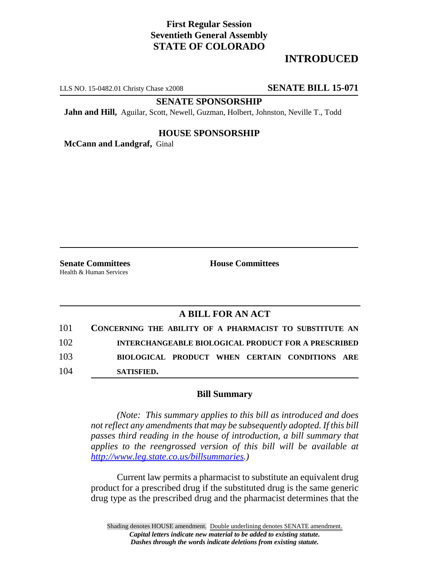# **First Regular Session Seventieth General Assembly STATE OF COLORADO**

# **INTRODUCED**

LLS NO. 15-0482.01 Christy Chase x2008 **SENATE BILL 15-071**

**SENATE SPONSORSHIP**

**Jahn and Hill,** Aguilar, Scott, Newell, Guzman, Holbert, Johnston, Neville T., Todd

### **HOUSE SPONSORSHIP**

**McCann and Landgraf,** Ginal

Health & Human Services

**Senate Committees House Committees** 

### **A BILL FOR AN ACT**

| 104 | SATISFIED.                                                 |  |
|-----|------------------------------------------------------------|--|
| 103 | BIOLOGICAL PRODUCT WHEN CERTAIN CONDITIONS ARE             |  |
| 102 | <b>INTERCHANGEABLE BIOLOGICAL PRODUCT FOR A PRESCRIBED</b> |  |
| 101 | CONCERNING THE ABILITY OF A PHARMACIST TO SUBSTITUTE AN    |  |

#### **Bill Summary**

*(Note: This summary applies to this bill as introduced and does not reflect any amendments that may be subsequently adopted. If this bill passes third reading in the house of introduction, a bill summary that applies to the reengrossed version of this bill will be available at http://www.leg.state.co.us/billsummaries.)*

Current law permits a pharmacist to substitute an equivalent drug product for a prescribed drug if the substituted drug is the same generic drug type as the prescribed drug and the pharmacist determines that the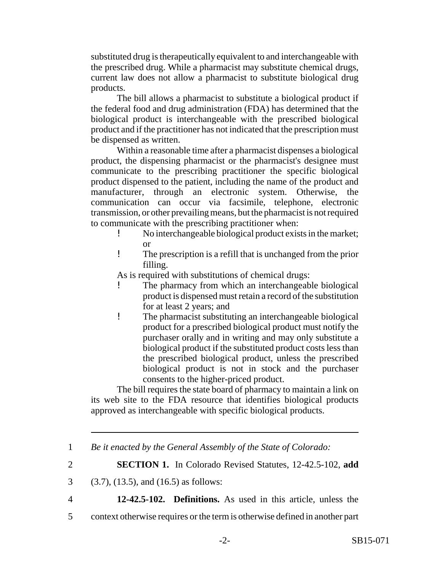substituted drug is therapeutically equivalent to and interchangeable with the prescribed drug. While a pharmacist may substitute chemical drugs, current law does not allow a pharmacist to substitute biological drug products.

The bill allows a pharmacist to substitute a biological product if the federal food and drug administration (FDA) has determined that the biological product is interchangeable with the prescribed biological product and if the practitioner has not indicated that the prescription must be dispensed as written.

Within a reasonable time after a pharmacist dispenses a biological product, the dispensing pharmacist or the pharmacist's designee must communicate to the prescribing practitioner the specific biological product dispensed to the patient, including the name of the product and manufacturer, through an electronic system. Otherwise, the communication can occur via facsimile, telephone, electronic transmission, or other prevailing means, but the pharmacist is not required to communicate with the prescribing practitioner when:

- ! No interchangeable biological product exists in the market; or
- ! The prescription is a refill that is unchanged from the prior filling.

As is required with substitutions of chemical drugs:

- The pharmacy from which an interchangeable biological product is dispensed must retain a record of the substitution for at least 2 years; and
- ! The pharmacist substituting an interchangeable biological product for a prescribed biological product must notify the purchaser orally and in writing and may only substitute a biological product if the substituted product costs less than the prescribed biological product, unless the prescribed biological product is not in stock and the purchaser consents to the higher-priced product.

The bill requires the state board of pharmacy to maintain a link on its web site to the FDA resource that identifies biological products approved as interchangeable with specific biological products.

4 **12-42.5-102. Definitions.** As used in this article, unless the

5 context otherwise requires or the term is otherwise defined in another part

<sup>1</sup> *Be it enacted by the General Assembly of the State of Colorado:*

<sup>2</sup> **SECTION 1.** In Colorado Revised Statutes, 12-42.5-102, **add**

<sup>3</sup> (3.7), (13.5), and (16.5) as follows: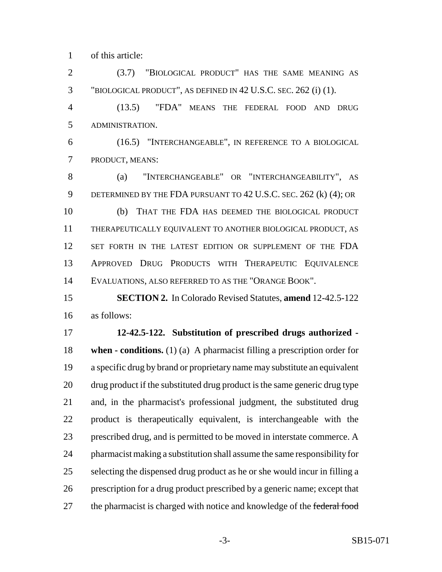of this article:

 (3.7) "BIOLOGICAL PRODUCT" HAS THE SAME MEANING AS "BIOLOGICAL PRODUCT", AS DEFINED IN 42 U.S.C. SEC. 262 (i) (1).

 (13.5) "FDA" MEANS THE FEDERAL FOOD AND DRUG ADMINISTRATION.

 (16.5) "INTERCHANGEABLE", IN REFERENCE TO A BIOLOGICAL PRODUCT, MEANS:

 (a) "INTERCHANGEABLE" OR "INTERCHANGEABILITY", AS DETERMINED BY THE FDA PURSUANT TO 42 U.S.C. SEC. 262 (k) (4); OR (b) THAT THE FDA HAS DEEMED THE BIOLOGICAL PRODUCT THERAPEUTICALLY EQUIVALENT TO ANOTHER BIOLOGICAL PRODUCT, AS SET FORTH IN THE LATEST EDITION OR SUPPLEMENT OF THE FDA APPROVED DRUG PRODUCTS WITH THERAPEUTIC EQUIVALENCE EVALUATIONS, ALSO REFERRED TO AS THE "ORANGE BOOK".

 **SECTION 2.** In Colorado Revised Statutes, **amend** 12-42.5-122 as follows:

 **12-42.5-122. Substitution of prescribed drugs authorized - when - conditions.** (1) (a) A pharmacist filling a prescription order for a specific drug by brand or proprietary name may substitute an equivalent drug product if the substituted drug product is the same generic drug type and, in the pharmacist's professional judgment, the substituted drug product is therapeutically equivalent, is interchangeable with the prescribed drug, and is permitted to be moved in interstate commerce. A pharmacist making a substitution shall assume the same responsibility for selecting the dispensed drug product as he or she would incur in filling a prescription for a drug product prescribed by a generic name; except that 27 the pharmacist is charged with notice and knowledge of the federal food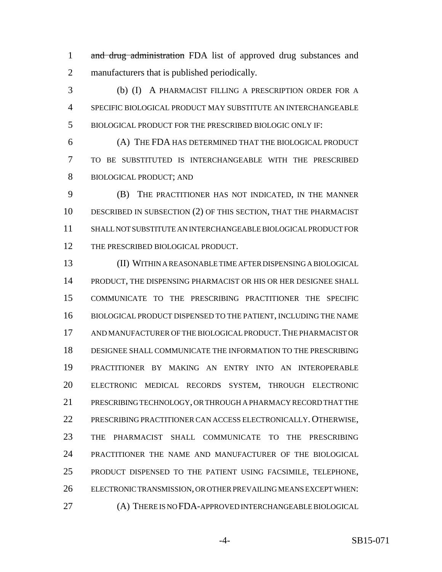1 and drug administration FDA list of approved drug substances and manufacturers that is published periodically.

 (b) (I) A PHARMACIST FILLING A PRESCRIPTION ORDER FOR A SPECIFIC BIOLOGICAL PRODUCT MAY SUBSTITUTE AN INTERCHANGEABLE BIOLOGICAL PRODUCT FOR THE PRESCRIBED BIOLOGIC ONLY IF:

 (A) THE FDA HAS DETERMINED THAT THE BIOLOGICAL PRODUCT TO BE SUBSTITUTED IS INTERCHANGEABLE WITH THE PRESCRIBED BIOLOGICAL PRODUCT; AND

 (B) THE PRACTITIONER HAS NOT INDICATED, IN THE MANNER 10 DESCRIBED IN SUBSECTION (2) OF THIS SECTION, THAT THE PHARMACIST SHALL NOT SUBSTITUTE AN INTERCHANGEABLE BIOLOGICAL PRODUCT FOR 12 THE PRESCRIBED BIOLOGICAL PRODUCT.

 (II) WITHIN A REASONABLE TIME AFTER DISPENSING A BIOLOGICAL PRODUCT, THE DISPENSING PHARMACIST OR HIS OR HER DESIGNEE SHALL COMMUNICATE TO THE PRESCRIBING PRACTITIONER THE SPECIFIC BIOLOGICAL PRODUCT DISPENSED TO THE PATIENT, INCLUDING THE NAME AND MANUFACTURER OF THE BIOLOGICAL PRODUCT.THE PHARMACIST OR DESIGNEE SHALL COMMUNICATE THE INFORMATION TO THE PRESCRIBING PRACTITIONER BY MAKING AN ENTRY INTO AN INTEROPERABLE ELECTRONIC MEDICAL RECORDS SYSTEM, THROUGH ELECTRONIC PRESCRIBING TECHNOLOGY, OR THROUGH A PHARMACY RECORD THAT THE PRESCRIBING PRACTITIONER CAN ACCESS ELECTRONICALLY. OTHERWISE, THE PHARMACIST SHALL COMMUNICATE TO THE PRESCRIBING PRACTITIONER THE NAME AND MANUFACTURER OF THE BIOLOGICAL PRODUCT DISPENSED TO THE PATIENT USING FACSIMILE, TELEPHONE, ELECTRONIC TRANSMISSION, OR OTHER PREVAILING MEANS EXCEPT WHEN: (A) THERE IS NO FDA-APPROVED INTERCHANGEABLE BIOLOGICAL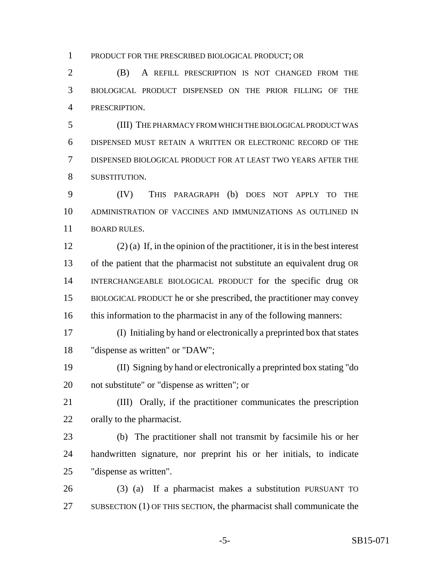PRODUCT FOR THE PRESCRIBED BIOLOGICAL PRODUCT; OR

 (B) A REFILL PRESCRIPTION IS NOT CHANGED FROM THE BIOLOGICAL PRODUCT DISPENSED ON THE PRIOR FILLING OF THE PRESCRIPTION.

 (III) THE PHARMACY FROM WHICH THE BIOLOGICAL PRODUCT WAS DISPENSED MUST RETAIN A WRITTEN OR ELECTRONIC RECORD OF THE DISPENSED BIOLOGICAL PRODUCT FOR AT LEAST TWO YEARS AFTER THE SUBSTITUTION.

 (IV) THIS PARAGRAPH (b) DOES NOT APPLY TO THE ADMINISTRATION OF VACCINES AND IMMUNIZATIONS AS OUTLINED IN BOARD RULES.

 (2) (a) If, in the opinion of the practitioner, it is in the best interest of the patient that the pharmacist not substitute an equivalent drug OR INTERCHANGEABLE BIOLOGICAL PRODUCT for the specific drug OR BIOLOGICAL PRODUCT he or she prescribed, the practitioner may convey 16 this information to the pharmacist in any of the following manners:

 (I) Initialing by hand or electronically a preprinted box that states "dispense as written" or "DAW";

 (II) Signing by hand or electronically a preprinted box stating "do not substitute" or "dispense as written"; or

 (III) Orally, if the practitioner communicates the prescription orally to the pharmacist.

 (b) The practitioner shall not transmit by facsimile his or her handwritten signature, nor preprint his or her initials, to indicate "dispense as written".

 (3) (a) If a pharmacist makes a substitution PURSUANT TO SUBSECTION (1) OF THIS SECTION, the pharmacist shall communicate the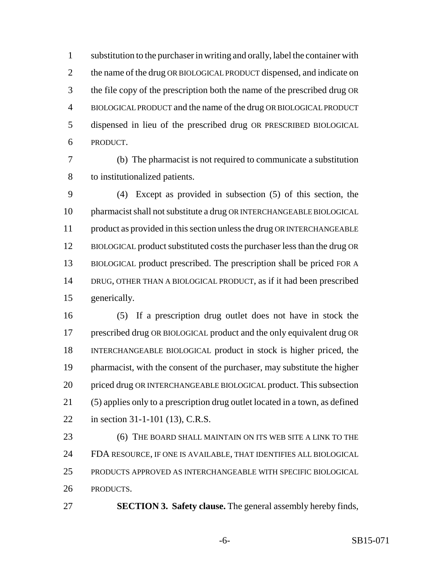substitution to the purchaser in writing and orally, label the container with 2 the name of the drug OR BIOLOGICAL PRODUCT dispensed, and indicate on the file copy of the prescription both the name of the prescribed drug OR BIOLOGICAL PRODUCT and the name of the drug OR BIOLOGICAL PRODUCT dispensed in lieu of the prescribed drug OR PRESCRIBED BIOLOGICAL PRODUCT.

 (b) The pharmacist is not required to communicate a substitution to institutionalized patients.

 (4) Except as provided in subsection (5) of this section, the pharmacist shall not substitute a drug OR INTERCHANGEABLE BIOLOGICAL 11 product as provided in this section unless the drug OR INTERCHANGEABLE BIOLOGICAL product substituted costs the purchaser less than the drug OR BIOLOGICAL product prescribed. The prescription shall be priced FOR A DRUG, OTHER THAN A BIOLOGICAL PRODUCT, as if it had been prescribed generically.

 (5) If a prescription drug outlet does not have in stock the prescribed drug OR BIOLOGICAL product and the only equivalent drug OR INTERCHANGEABLE BIOLOGICAL product in stock is higher priced, the pharmacist, with the consent of the purchaser, may substitute the higher priced drug OR INTERCHANGEABLE BIOLOGICAL product. This subsection (5) applies only to a prescription drug outlet located in a town, as defined in section 31-1-101 (13), C.R.S.

**6** (6) THE BOARD SHALL MAINTAIN ON ITS WEB SITE A LINK TO THE FDA RESOURCE, IF ONE IS AVAILABLE, THAT IDENTIFIES ALL BIOLOGICAL PRODUCTS APPROVED AS INTERCHANGEABLE WITH SPECIFIC BIOLOGICAL PRODUCTS.

**SECTION 3. Safety clause.** The general assembly hereby finds,